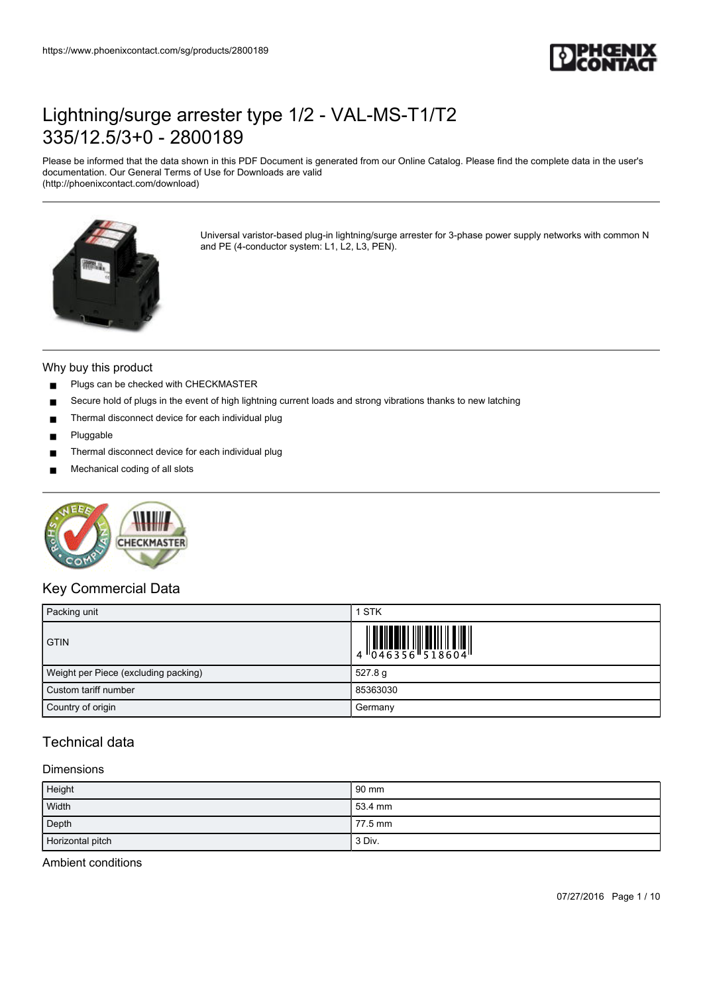

Please be informed that the data shown in this PDF Document is generated from our Online Catalog. Please find the complete data in the user's documentation. Our General Terms of Use for Downloads are valid (http://phoenixcontact.com/download)



Universal varistor-based plug-in lightning/surge arrester for 3-phase power supply networks with common N and PE (4-conductor system: L1, L2, L3, PEN).

#### Why buy this product

- Plugs can be checked with CHECKMASTER
- Secure hold of plugs in the event of high lightning current loads and strong vibrations thanks to new latching
- Thermal disconnect device for each individual plug
- Pluggable
- Thermal disconnect device for each individual plug
- Mechanical coding of all slots



### Key Commercial Data

| Packing unit                         | 1 STK                                                                         |
|--------------------------------------|-------------------------------------------------------------------------------|
| <b>GTIN</b>                          | $\begin{array}{c} 1 & 0 & 0 & 0 & 0 \\ 0 & 0 & 4 & 6 & 3 & 5 & 6 \end{array}$ |
| Weight per Piece (excluding packing) | 527.8 g                                                                       |
| Custom tariff number                 | 85363030                                                                      |
| Country of origin                    | Germany                                                                       |

## Technical data

### Dimensions

| Height<br>$\overline{\phantom{a}}$ | 90 mm   |
|------------------------------------|---------|
| Width                              | 53.4 mm |
| Depth                              | 77.5 mm |
| Horizontal pitch                   | 3 Div.  |

Ambient conditions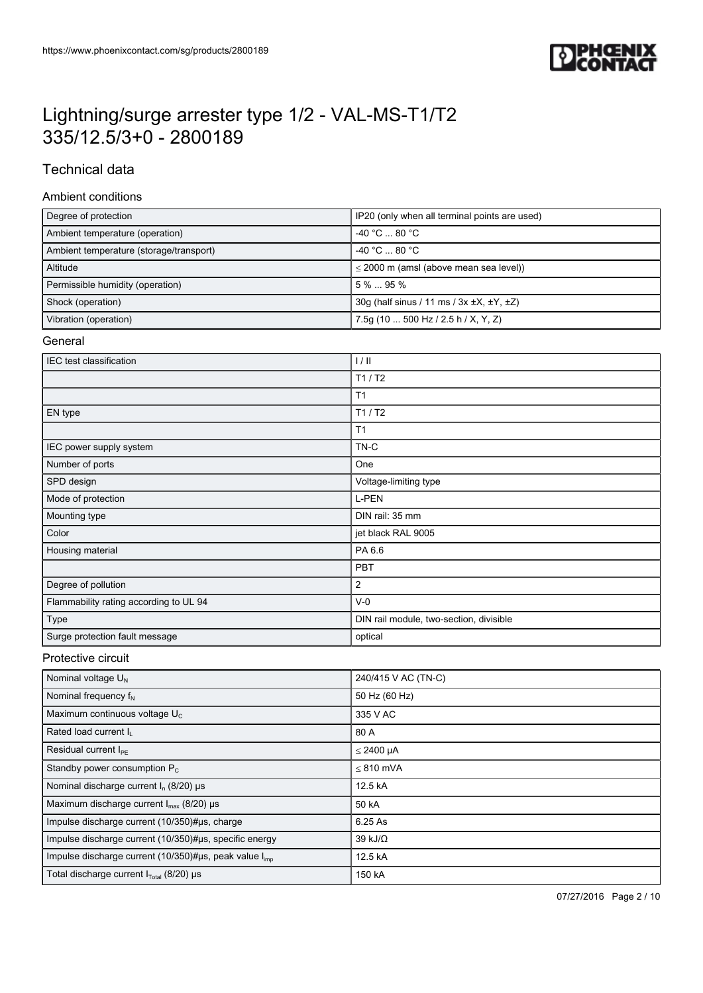

## Technical data

### Ambient conditions

| Degree of protection                    | IP20 (only when all terminal points are used)              |
|-----------------------------------------|------------------------------------------------------------|
| Ambient temperature (operation)         | $-40 °C  80 °C$                                            |
| Ambient temperature (storage/transport) | $-40 °C \dots 80 °C$                                       |
| Altitude                                | $\leq$ 2000 m (amsl (above mean sea level))                |
| Permissible humidity (operation)        | $5\%$ 95%                                                  |
| Shock (operation)                       | 30g (half sinus / 11 ms / $3x \pm X$ , $\pm Y$ , $\pm Z$ ) |
| Vibration (operation)                   | 7.5g (10  500 Hz / 2.5 h / X, Y, Z)                        |

#### **General**

| IEC test classification                | 1/11                                    |
|----------------------------------------|-----------------------------------------|
|                                        | T1/ T2                                  |
|                                        | T <sub>1</sub>                          |
| EN type                                | T1/ T2                                  |
|                                        | T <sub>1</sub>                          |
| IEC power supply system                | TN-C                                    |
| Number of ports                        | One                                     |
| SPD design                             | Voltage-limiting type                   |
| Mode of protection                     | L-PEN                                   |
| Mounting type                          | DIN rail: 35 mm                         |
| Color                                  | jet black RAL 9005                      |
| Housing material                       | PA 6.6                                  |
|                                        | PBT                                     |
| Degree of pollution                    | $\overline{2}$                          |
| Flammability rating according to UL 94 | $V-0$                                   |
| Type                                   | DIN rail module, two-section, divisible |
| Surge protection fault message         | optical                                 |

### Protective circuit

| Nominal voltage $U_N$                                  | 240/415 V AC (TN-C) |
|--------------------------------------------------------|---------------------|
| Nominal frequency $f_N$                                | 50 Hz (60 Hz)       |
| Maximum continuous voltage U <sub>C</sub>              | 335 V AC            |
| Rated load current I <sub>I</sub>                      | 80 A                |
| Residual current $I_{\text{PF}}$                       | $\leq$ 2400 µA      |
| Standby power consumption $P_c$                        | $< 810$ mVA         |
| Nominal discharge current $I_n$ (8/20) $\mu$ s         | 12.5 kA             |
| Maximum discharge current $I_{\text{max}}$ (8/20) µs   | 50 kA               |
| Impulse discharge current (10/350)#us, charge          | 6.25 As             |
| Impulse discharge current (10/350)#us, specific energy | 39 kJ/ $\Omega$     |
| Impulse discharge current (10/350)#µs, peak value limp | 12.5 kA             |
| Total discharge current $I_{\text{Total}}$ (8/20) µs   | 150 kA              |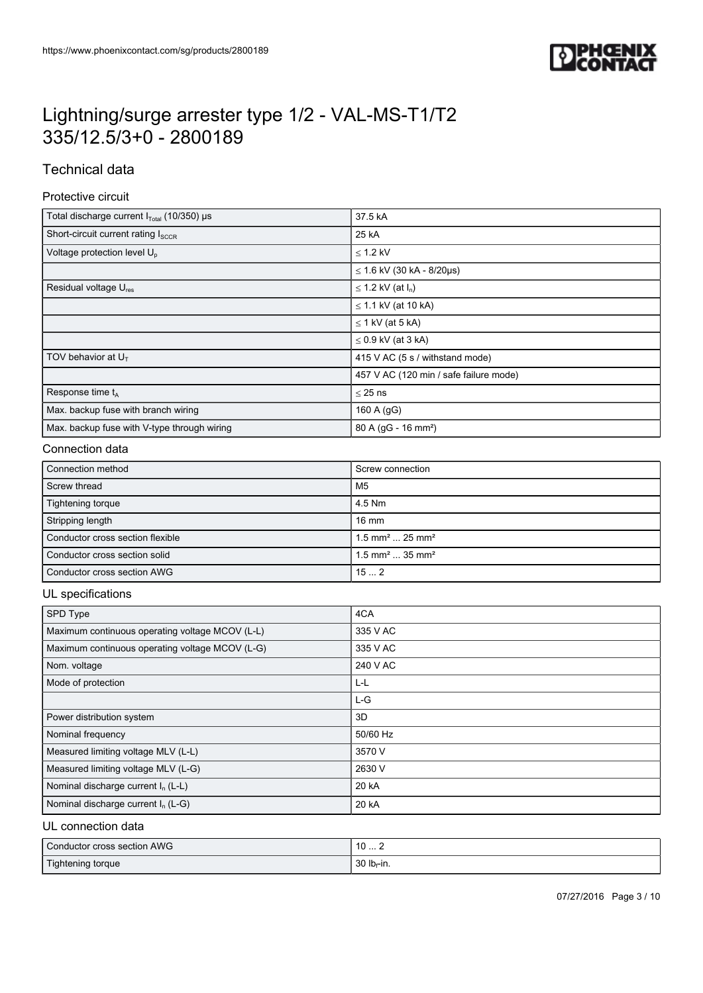

## Technical data

#### Protective circuit

| Total discharge current I <sub>Total</sub> (10/350) µs | 37.5 kA                                |
|--------------------------------------------------------|----------------------------------------|
| Short-circuit current rating Isccs                     | 25 kA                                  |
| Voltage protection level U <sub>n</sub>                | $\leq$ 1.2 kV                          |
|                                                        | $\leq$ 1.6 kV (30 kA - 8/20µs)         |
| Residual voltage U <sub>res</sub>                      | $\leq$ 1.2 kV (at $I_n$ )              |
|                                                        | $\leq$ 1.1 kV (at 10 kA)               |
|                                                        | $\leq$ 1 kV (at 5 kA)                  |
|                                                        | $\leq$ 0.9 kV (at 3 kA)                |
| TOV behavior at $U_T$                                  | 415 V AC (5 s / withstand mode)        |
|                                                        | 457 V AC (120 min / safe failure mode) |
| Response time t <sub>A</sub>                           | $\leq$ 25 ns                           |
| Max. backup fuse with branch wiring                    | 160 A (gG)                             |
| Max. backup fuse with V-type through wiring            | 80 A (gG - 16 mm <sup>2</sup> )        |

### Connection data

| Connection method                | Screw connection                         |
|----------------------------------|------------------------------------------|
| Screw thread                     | M5                                       |
| Tightening torque                | 4.5 Nm                                   |
| Stripping length                 | $16 \text{ mm}$                          |
| Conductor cross section flexible | $1.5$ mm <sup>2</sup> 25 mm <sup>2</sup> |
| Conductor cross section solid    | $1.5$ mm <sup>2</sup> 35 mm <sup>2</sup> |
| Conductor cross section AWG      | 152                                      |

#### UL specifications

| SPD Type                                        | 4CA      |
|-------------------------------------------------|----------|
| Maximum continuous operating voltage MCOV (L-L) | 335 V AC |
| Maximum continuous operating voltage MCOV (L-G) | 335 V AC |
| Nom. voltage                                    | 240 V AC |
| Mode of protection                              | ĿL       |
|                                                 | $L-G$    |
| Power distribution system                       | 3D       |
| Nominal frequency                               | 50/60 Hz |
| Measured limiting voltage MLV (L-L)             | 3570 V   |
| Measured limiting voltage MLV (L-G)             | 2630 V   |
| Nominal discharge current $I_n$ (L-L)           | 20 kA    |
| Nominal discharge current I <sub>n</sub> (L-G)  | 20 kA    |

### UL connection data

| Conductor cross section AWG | $\overline{10}$<br>10  Z |
|-----------------------------|--------------------------|
| Tightening torque           | 30 $lb_f$ -in.           |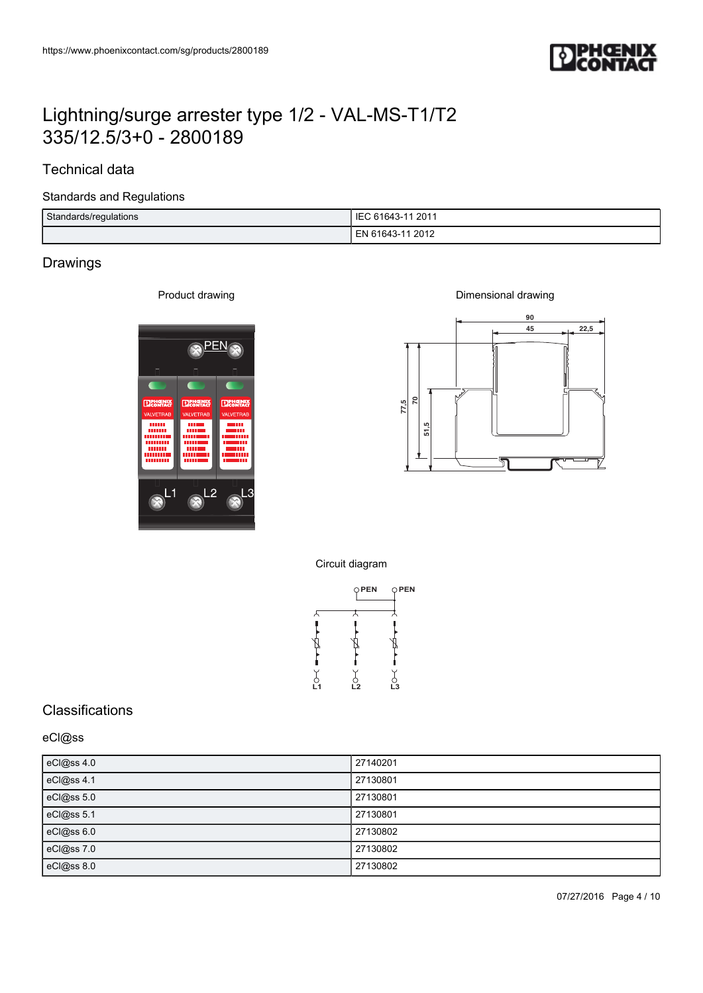

## Technical data

#### Standards and Regulations

| Standards/regulations | IEC 61643-11 2011      |
|-----------------------|------------------------|
|                       | 2012<br>ΞN<br>" 61643- |

## Drawings

Product drawing





Circuit diagram



## **Classifications**

### eCl@ss

| eCl@ss 4.0 | 27140201 |
|------------|----------|
| eCl@ss 4.1 | 27130801 |
| eCl@ss 5.0 | 27130801 |
| eCl@ss 5.1 | 27130801 |
| eCl@ss 6.0 | 27130802 |
| eCl@ss 7.0 | 27130802 |
| eCl@ss 8.0 | 27130802 |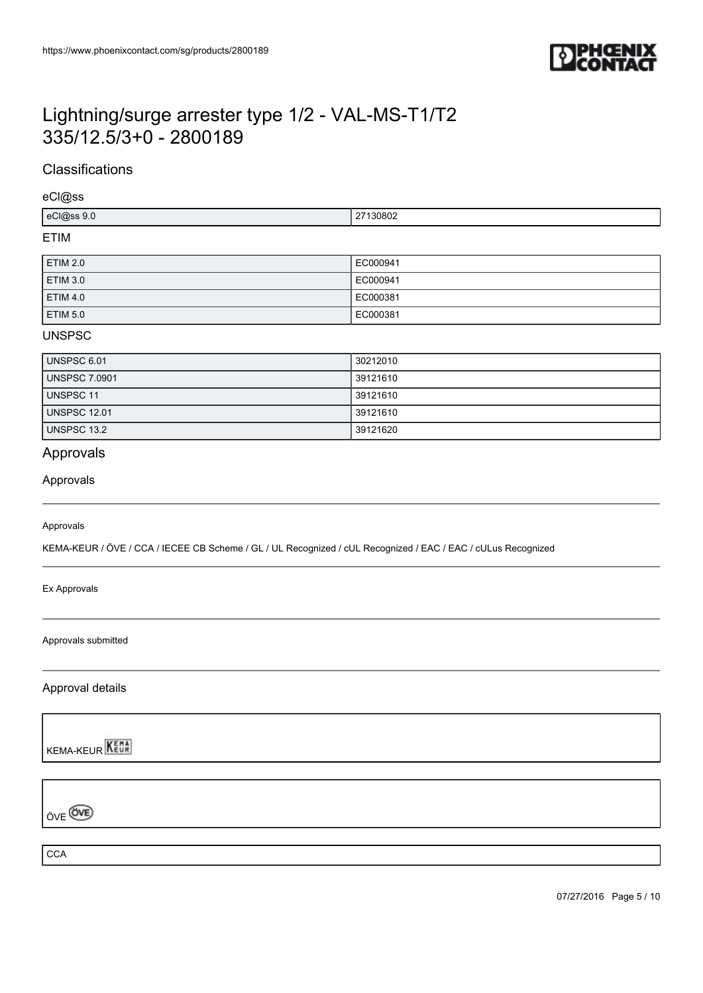

## **Classifications**

eCl@ss

| ``<br>יי ה<br>$\mathbf{u}$<br>,,,<br>.<br>$-$ |
|-----------------------------------------------|
|-----------------------------------------------|

### ETIM

| <b>ETIM 2.0</b> | EC000941 |
|-----------------|----------|
| <b>ETIM 3.0</b> | EC000941 |
| <b>ETIM 4.0</b> | EC000381 |
| <b>ETIM 5.0</b> | EC000381 |

### UNSPSC

| UNSPSC 6.01          | 30212010 |
|----------------------|----------|
| <b>UNSPSC 7.0901</b> | 39121610 |
| UNSPSC 11            | 39121610 |
| <b>UNSPSC 12.01</b>  | 39121610 |
| <b>UNSPSC 13.2</b>   | 39121620 |

## Approvals

#### Approvals

#### Approvals

KEMA-KEUR / ÖVE / CCA / IECEE CB Scheme / GL / UL Recognized / cUL Recognized / EAC / EAC / cULus Recognized

Ex Approvals

Approvals submitted

Approval details

**KEMA-KEUR** 

ÖVE<sup>OVE</sup>

**CCA** 

07/27/2016 Page 5 / 10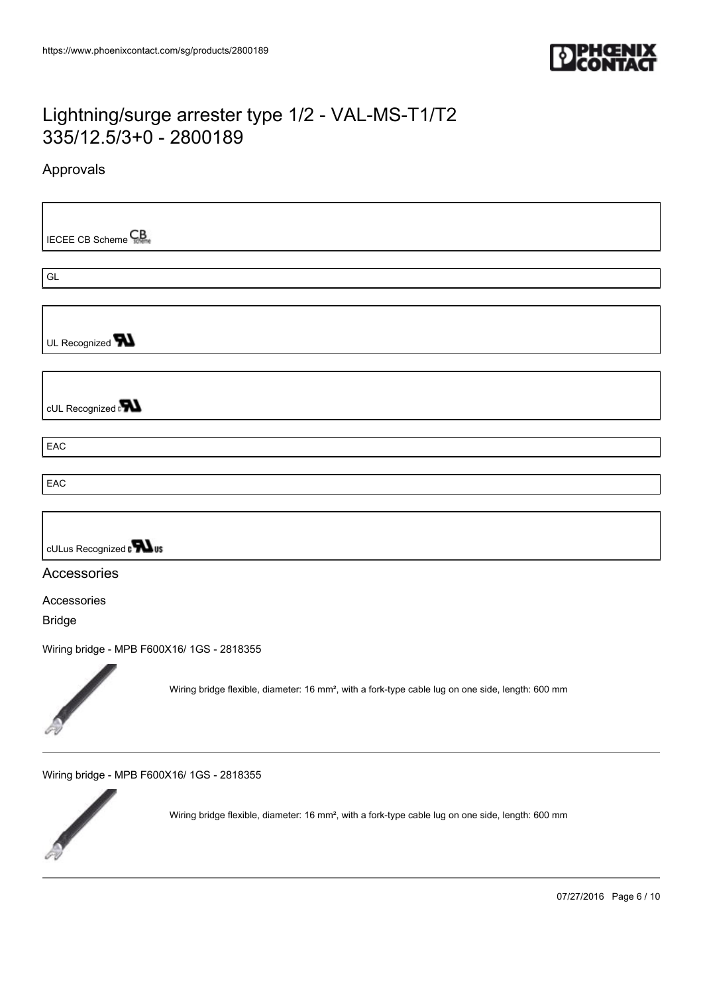

## Approvals

**IECEE CB Scheme** 

GL

UL Recognized **W** 

cUL Recognized

**EAC** 

EAC



### Accessories

Accessories

Bridge

[Wiring bridge - MPB F600X16/ 1GS - 2818355](https://www.phoenixcontact.com/sg/products/2818355)



Wiring bridge flexible, diameter: 16 mm², with a fork-type cable lug on one side, length: 600 mm

[Wiring bridge - MPB F600X16/ 1GS - 2818355](https://www.phoenixcontact.com/sg/products/2818355)



Wiring bridge flexible, diameter: 16 mm², with a fork-type cable lug on one side, length: 600 mm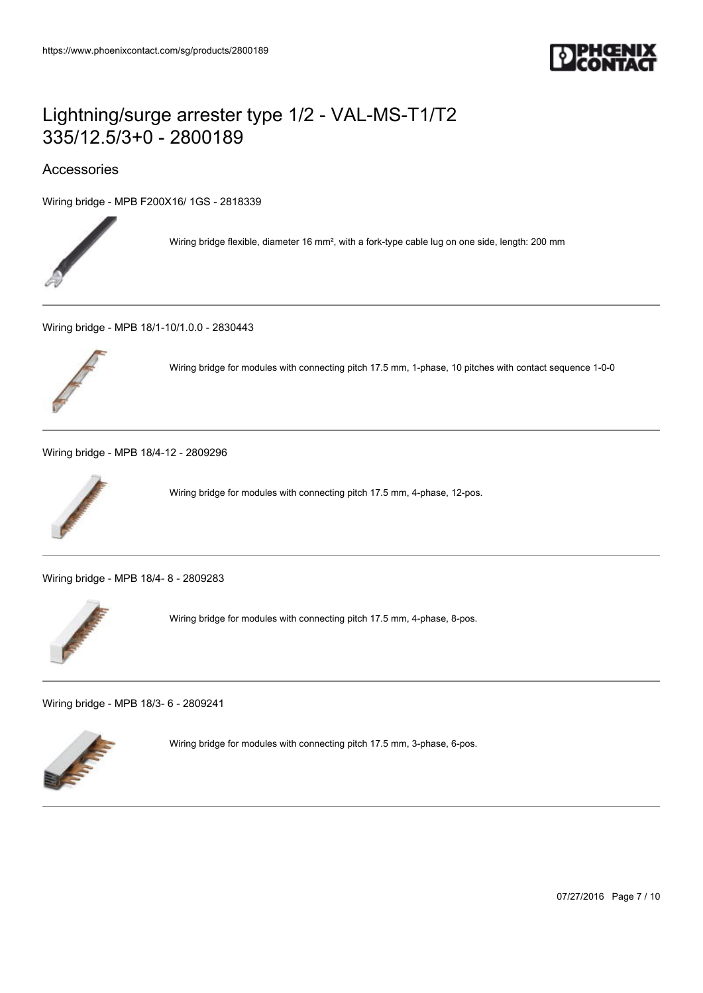

## Accessories

[Wiring bridge - MPB F200X16/ 1GS - 2818339](https://www.phoenixcontact.com/sg/products/2818339)



Wiring bridge flexible, diameter 16 mm², with a fork-type cable lug on one side, length: 200 mm

[Wiring bridge - MPB 18/1-10/1.0.0 - 2830443](https://www.phoenixcontact.com/sg/products/2830443)



Wiring bridge for modules with connecting pitch 17.5 mm, 1-phase, 10 pitches with contact sequence 1-0-0

[Wiring bridge - MPB 18/4-12 - 2809296](https://www.phoenixcontact.com/sg/products/2809296)



Wiring bridge for modules with connecting pitch 17.5 mm, 4-phase, 12-pos.

[Wiring bridge - MPB 18/4- 8 - 2809283](https://www.phoenixcontact.com/sg/products/2809283)



Wiring bridge for modules with connecting pitch 17.5 mm, 4-phase, 8-pos.

[Wiring bridge - MPB 18/3- 6 - 2809241](https://www.phoenixcontact.com/sg/products/2809241)



Wiring bridge for modules with connecting pitch 17.5 mm, 3-phase, 6-pos.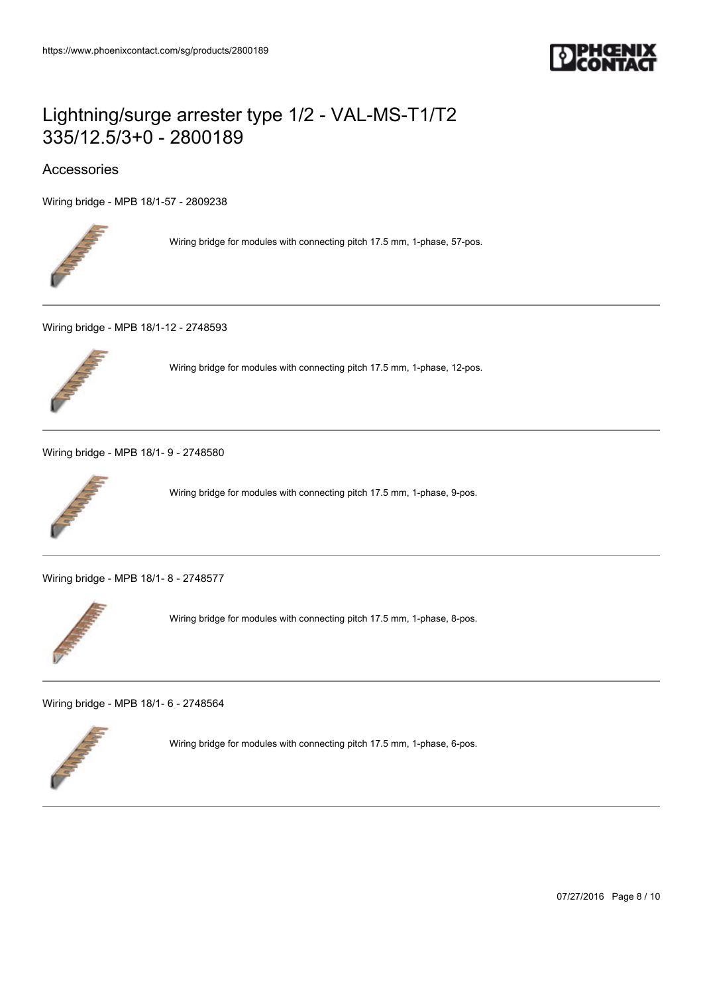

## Accessories

[Wiring bridge - MPB 18/1-57 - 2809238](https://www.phoenixcontact.com/sg/products/2809238)



Wiring bridge for modules with connecting pitch 17.5 mm, 1-phase, 57-pos.

[Wiring bridge - MPB 18/1-12 - 2748593](https://www.phoenixcontact.com/sg/products/2748593)



Wiring bridge for modules with connecting pitch 17.5 mm, 1-phase, 12-pos.

[Wiring bridge - MPB 18/1- 9 - 2748580](https://www.phoenixcontact.com/sg/products/2748580)



Wiring bridge for modules with connecting pitch 17.5 mm, 1-phase, 9-pos.

[Wiring bridge - MPB 18/1- 8 - 2748577](https://www.phoenixcontact.com/sg/products/2748577)



Wiring bridge for modules with connecting pitch 17.5 mm, 1-phase, 8-pos.

[Wiring bridge - MPB 18/1- 6 - 2748564](https://www.phoenixcontact.com/sg/products/2748564)



Wiring bridge for modules with connecting pitch 17.5 mm, 1-phase, 6-pos.

07/27/2016 Page 8 / 10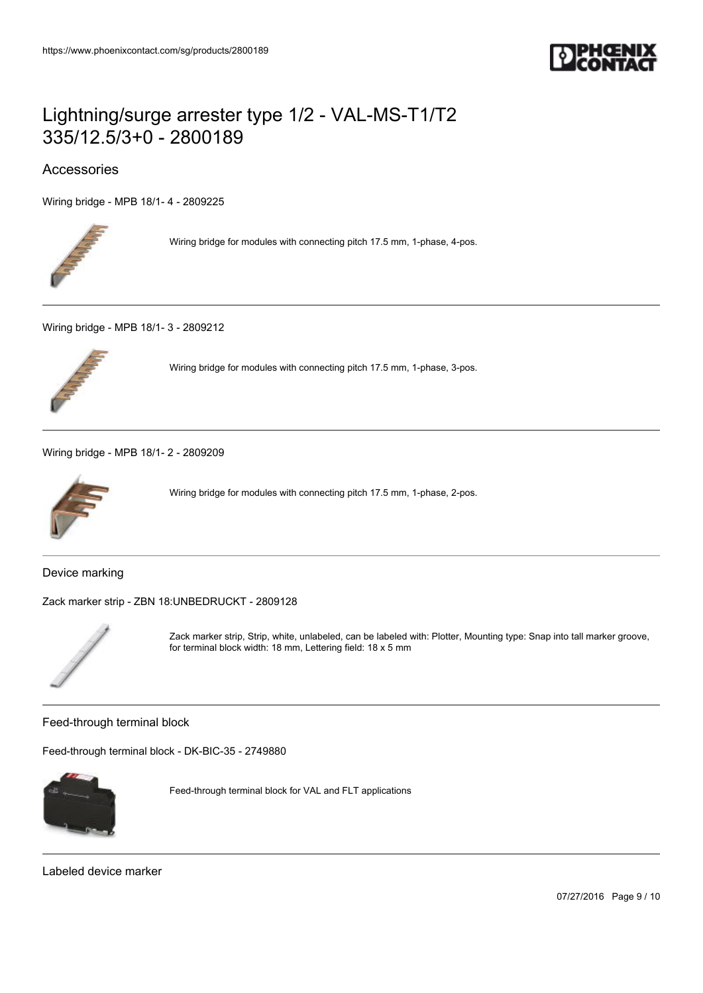

## Accessories

[Wiring bridge - MPB 18/1- 4 - 2809225](https://www.phoenixcontact.com/sg/products/2809225)



Wiring bridge for modules with connecting pitch 17.5 mm, 1-phase, 4-pos.

[Wiring bridge - MPB 18/1- 3 - 2809212](https://www.phoenixcontact.com/sg/products/2809212)



Wiring bridge for modules with connecting pitch 17.5 mm, 1-phase, 3-pos.

[Wiring bridge - MPB 18/1- 2 - 2809209](https://www.phoenixcontact.com/sg/products/2809209)



Wiring bridge for modules with connecting pitch 17.5 mm, 1-phase, 2-pos.

Device marking

[Zack marker strip - ZBN 18:UNBEDRUCKT - 2809128](https://www.phoenixcontact.com/sg/products/2809128)



Zack marker strip, Strip, white, unlabeled, can be labeled with: Plotter, Mounting type: Snap into tall marker groove, for terminal block width: 18 mm, Lettering field: 18 x 5 mm

Feed-through terminal block

[Feed-through terminal block - DK-BIC-35 - 2749880](https://www.phoenixcontact.com/sg/products/2749880)



Feed-through terminal block for VAL and FLT applications

Labeled device marker